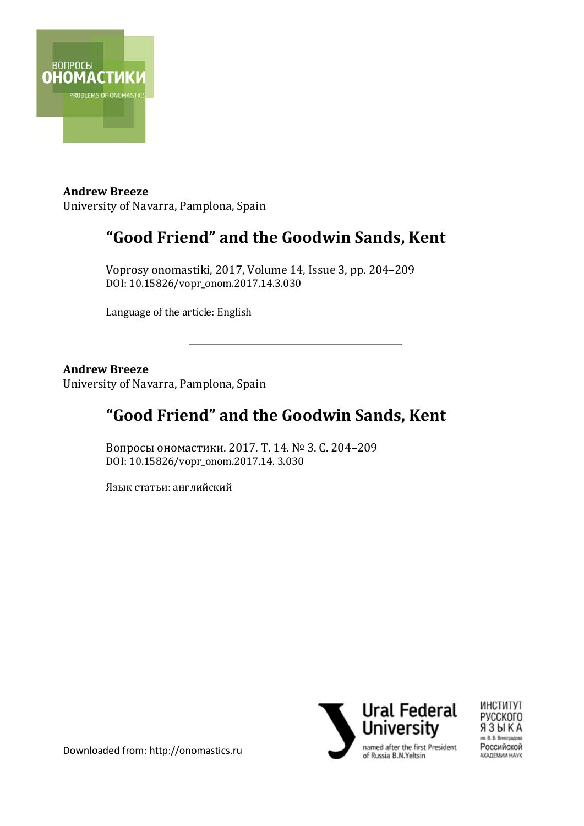

**Andrew Breeze** University of Navarra, Pamplona, Spain

## **"Good Friend" and the Goodwin Sands, Kent**

Voprosy onomastiki, 2017, Volume 14, Issue 3, pp. 204–209 DOI: 10.15826/vopr\_onom.2017.14.3.030

Language of the article: English

#### **Andrew Breeze**

University of Navarra, Pamplona, Spain

### **"Good Friend" and the Goodwin Sands, Kent**

\_\_\_\_\_\_\_\_\_\_\_\_\_\_\_\_\_\_\_\_\_\_\_\_\_\_\_\_\_\_\_\_\_\_\_\_\_\_\_\_\_\_\_

Вопросы ономастики. 2017. Т. 14. № 3. С. 204–209 DOI: 10.15826/vopr\_onom.2017.14. 3.030

Язык статьи: английский





Downloaded from: http://onomastics.ru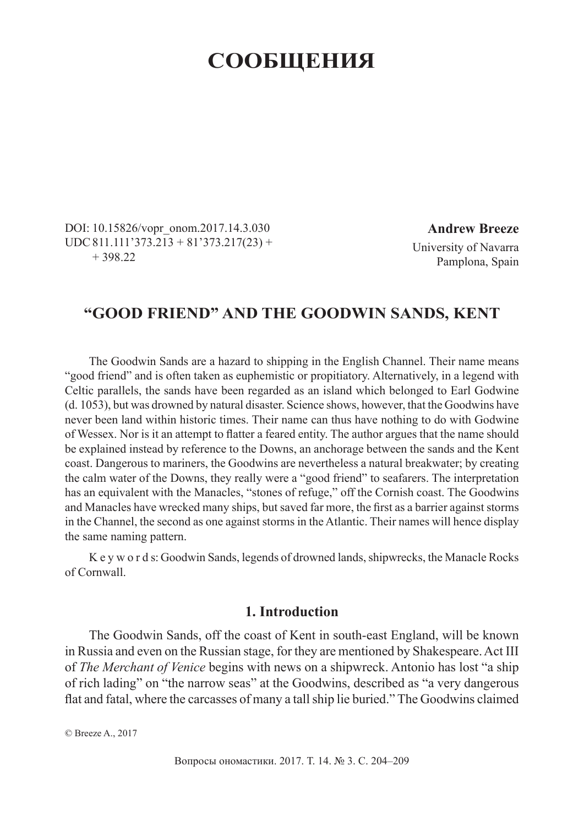# **СООБЩЕНИЯ**

DOI: 10.15826/vopr\_onom.2017.14.3.030  $UDC 811.111'373.213 + 81'373.217(23) +$  $+ 398.22$ 

**Andrew Breeze** University of Navarra Pamplona, Spain

### **"GOOD FRIEND" AND THE GOODWIN SANDS, KENT**

The Goodwin Sands are a hazard to shipping in the English Channel. Their name means "good friend" and is often taken as euphemistic or propitiatory. Alternatively, in a legend with Celtic parallels, the sands have been regarded as an island which belonged to Earl Godwine (d. 1053), but was drowned by natural disaster. Science shows, however, that the Goodwins have never been land within historic times. Their name can thus have nothing to do with Godwine of Wessex. Nor is it an attempt to flatter a feared entity. The author argues that the name should be explained instead by reference to the Downs, an anchorage between the sands and the Kent coast. Dangerous to mariners, the Goodwins are nevertheless a natural breakwater; by creating the calm water of the Downs, they really were a "good friend" to seafarers. The interpretation has an equivalent with the Manacles, "stones of refuge," off the Cornish coast. The Goodwins and Manacles have wrecked many ships, but saved far more, the first as a barrier against storms in the Channel, the second as one against storms in the Atlantic. Their names will hence display the same naming pattern.

K e y w o r d s: Goodwin Sands, legends of drowned lands, shipwrecks, the Manacle Rocks of Cornwall.

#### **1. Introduction**

The Goodwin Sands, off the coast of Kent in south-east England, will be known in Russia and even on the Russian stage, for they are mentioned by Shakespeare. Act III of *The Merchant of Venice* begins with news on a shipwreck. Antonio has lost "a ship of rich lading" on "the narrow seas" at the Goodwins, described as "a very dangerous flat and fatal, where the carcasses of many a tall ship lie buried." The Goodwins claimed

© Breeze A., 2017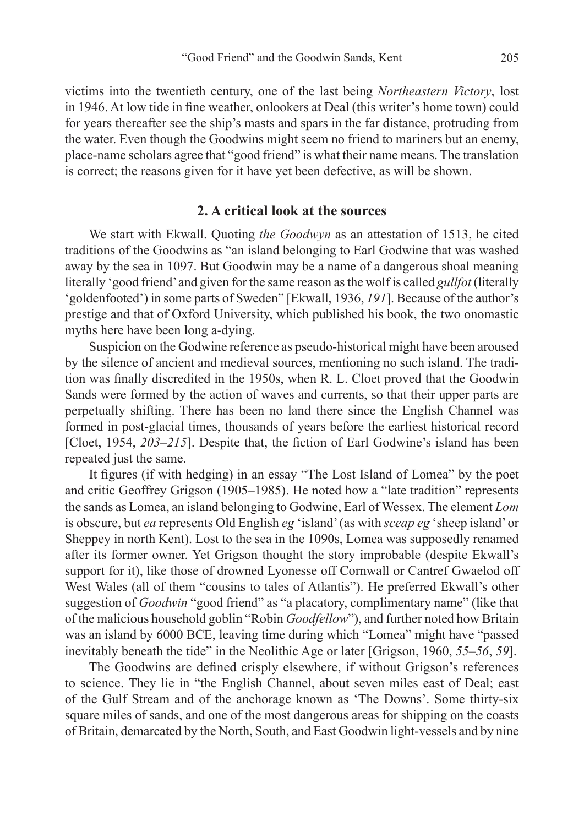victims into the twentieth century, one of the last being *Northeastern Victory*, lost in 1946. At low tide in fine weather, onlookers at Deal (this writer's home town) could for years thereafter see the ship's masts and spars in the far distance, protruding from the water. Even though the Goodwins might seem no friend to mariners but an enemy, place-name scholars agree that "good friend" is what their name means. The translation is correct; the reasons given for it have yet been defective, as will be shown.

#### **2. A critical look at the sources**

We start with Ekwall. Quoting *the Goodwyn* as an attestation of 1513, he cited traditions of the Goodwins as "an island belonging to Earl Godwine that was washed away by the sea in 1097. But Goodwin may be a name of a dangerous shoal meaning literally 'good friend' and given for the same reason as the wolf is called *gullfot* (literally 'goldenfooted') in some parts of Sweden" [Ekwall, 1936, *191*]. Because of the author's prestige and that of Oxford University, which published his book, the two onomastic myths here have been long a-dying.

Suspicion on the Godwine reference as pseudo-historical might have been aroused by the silence of ancient and medieval sources, mentioning no such island. The tradition was finally discredited in the 1950s, when R. L. Cloet proved that the Goodwin Sands were formed by the action of waves and currents, so that their upper parts are perpetually shifting. There has been no land there since the English Channel was formed in post-glacial times, thousands of years before the earliest historical record [Cloet, 1954, 203–215]. Despite that, the fiction of Earl Godwine's island has been repeated just the same.

It figures (if with hedging) in an essay "The Lost Island of Lomea" by the poet and critic Geoffrey Grigson (1905–1985). He noted how a "late tradition" represents the sands as Lomea, an island belonging to Godwine, Earl of Wessex. The element *Lom* is obscure, but *ea* represents Old English *eg* 'island' (as with *sceap eg* 'sheep island' or Sheppey in north Kent). Lost to the sea in the 1090s, Lomea was supposedly renamed after its former owner. Yet Grigson thought the story improbable (despite Ekwall's support for it), like those of drowned Lyonesse off Cornwall or Cantref Gwaelod off West Wales (all of them "cousins to tales of Atlantis"). He preferred Ekwall's other suggestion of *Goodwin* "good friend" as "a placatory, complimentary name" (like that of the malicious household goblin "Robin *Goodfellow*"), and further noted how Britain was an island by 6000 BCE, leaving time during which "Lomea" might have "passed inevitably beneath the tide" in the Neolithic Age or later [Grigson, 1960, *55–56*, *59*].

The Goodwins are defined crisply elsewhere, if without Grigson's references to science. They lie in "the English Channel, about seven miles east of Deal; east of the Gulf Stream and of the anchorage known as 'The Downs'. Some thirty-six square miles of sands, and one of the most dangerous areas for shipping on the coasts of Britain, demarcated by the North, South, and East Goodwin light-vessels and by nine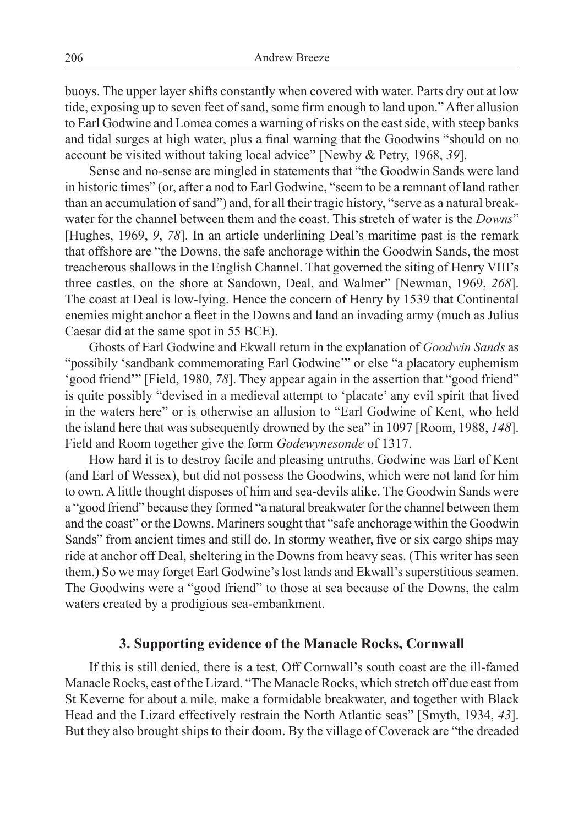buoys. The upper layer shifts constantly when covered with water. Parts dry out at low tide, exposing up to seven feet of sand, some firm enough to land upon." After allusion to Earl Godwine and Lomea comes a warning of risks on the east side, with steep banks and tidal surges at high water, plus a final warning that the Goodwins "should on no account be visited without taking local advice" [Newby & Petry, 1968, *39*].

Sense and no-sense are mingled in statements that "the Goodwin Sands were land in historic times" (or, after a nod to Earl Godwine, "seem to be a remnant of land rather than an accumulation of sand") and, for all their tragic history, "serve as a natural breakwater for the channel between them and the coast. This stretch of water is the *Downs*" [Hughes, 1969, *9*, *78*]. In an article underlining Deal's maritime past is the remark that offshore are "the Downs, the safe anchorage within the Goodwin Sands, the most treacherous shallows in the English Channel. That governed the siting of Henry VIII's three castles, on the shore at Sandown, Deal, and Walmer" [Newman, 1969, *268*]. The coast at Deal is low-lying. Hence the concern of Henry by 1539 that Continental enemies might anchor a fleet in the Downs and land an invading army (much as Julius Caesar did at the same spot in 55 BCE).

Ghosts of Earl Godwine and Ekwall return in the explanation of *Goodwin Sands* as "possibily 'sandbank commemorating Earl Godwine'" or else "a placatory euphemism 'good friend'" [Field, 1980, *78*]. They appear again in the assertion that "good friend" is quite possibly "devised in a medieval attempt to 'placate' any evil spirit that lived in the waters here" or is otherwise an allusion to "Earl Godwine of Kent, who held the island here that was subsequently drowned by the sea" in 1097 [Room, 1988, *148*]. Field and Room together give the form *Godewynesonde* of 1317.

How hard it is to destroy facile and pleasing untruths. Godwine was Earl of Kent (and Earl of Wessex), but did not possess the Goodwins, which were not land for him to own. A little thought disposes of him and sea-devils alike. The Goodwin Sands were a "good friend" because they formed "a natural breakwater for the channel between them and the coast" or the Downs. Mariners sought that "safe anchorage within the Goodwin Sands" from ancient times and still do. In stormy weather, five or six cargo ships may ride at anchor off Deal, sheltering in the Downs from heavy seas. (This writer has seen them.) So we may forget Earl Godwine's lost lands and Ekwall's superstitious seamen. The Goodwins were a "good friend" to those at sea because of the Downs, the calm waters created by a prodigious sea-embankment.

#### **3. Supporting evidence of the Manacle Rocks, Cornwall**

If this is still denied, there is a test. Off Cornwall's south coast are the ill-famed Manacle Rocks, east of the Lizard. "The Manacle Rocks, which stretch off due east from St Keverne for about a mile, make a formidable breakwater, and together with Black Head and the Lizard effectively restrain the North Atlantic seas" [Smyth, 1934, *43*]. But they also brought ships to their doom. By the village of Coverack are "the dreaded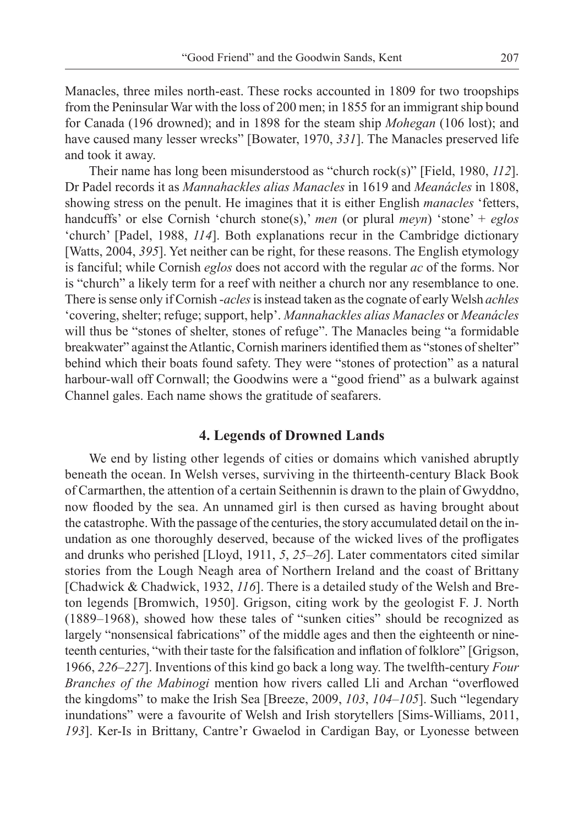Manacles, three miles north-east. These rocks accounted in 1809 for two troopships from the Peninsular War with the loss of 200 men; in 1855 for an immigrant ship bound for Canada (196 drowned); and in 1898 for the steam ship *Mohegan* (106 lost); and have caused many lesser wrecks" [Bowater, 1970, *331*]. The Manacles preserved life and took it away.

Their name has long been misunderstood as "church rock(s)" [Field, 1980, *112*]. Dr Padel records it as *Mannahackles alias Manacles* in 1619 and *Meanácles* in 1808, showing stress on the penult. He imagines that it is either English *manacles* 'fetters, handcuffs' or else Cornish 'church stone(s),' *men* (or plural *meyn*) 'stone' + *eglos* 'church' [Padel, 1988, *114*]. Both explanations recur in the Cambridge dictionary [Watts, 2004, *395*]. Yet neither can be right, for these reasons. The English etymology is fanciful; while Cornish *eglos* does not accord with the regular *ac* of the forms. Nor is "church" a likely term for a reef with neither a church nor any resemblance to one. There is sense only if Cornish -*acles* is instead taken as the cognate of early Welsh *achles* 'covering, shelter; refuge; support, help'. *Mannahackles alias Manacles* or *Meanácles* will thus be "stones of shelter, stones of refuge". The Manacles being "a formidable breakwater" against the Atlantic, Cornish mariners identified them as "stones of shelter" behind which their boats found safety. They were "stones of protection" as a natural harbour-wall off Cornwall; the Goodwins were a "good friend" as a bulwark against Channel gales. Each name shows the gratitude of seafarers.

#### **4. Legends of Drowned Lands**

We end by listing other legends of cities or domains which vanished abruptly beneath the ocean. In Welsh verses, surviving in the thirteenth-century Black Book of Carmarthen, the attention of a certain Seithennin is drawn to the plain of Gwyddno, now flooded by the sea. An unnamed girl is then cursed as having brought about the catastrophe. With the passage of the centuries, the story accumulated detail on the inundation as one thoroughly deserved, because of the wicked lives of the profligates and drunks who perished [Lloyd, 1911, *5*, *25–26*]. Later commentators cited similar stories from the Lough Neagh area of Northern Ireland and the coast of Brittany [Chadwick & Chadwick, 1932, *116*]. There is a detailed study of the Welsh and Breton legends [Bromwich, 1950]. Grigson, citing work by the geologist F. J. North (1889–1968), showed how these tales of "sunken cities" should be recognized as largely "nonsensical fabrications" of the middle ages and then the eighteenth or nineteenth centuries, "with their taste for the falsification and inflation of folklore" [Grigson, 1966, *226–227*]. Inventions of this kind go back a long way. The twelfth-century *Four Branches of the Mabinogi* mention how rivers called Lli and Archan "overflowed" the kingdoms" to make the Irish Sea [Breeze, 2009, *103*, *104–105*]. Such "legendary inundations" were a favourite of Welsh and Irish storytellers [Sims-Williams, 2011, *193*]. Ker-Is in Brittany, Cantre'r Gwaelod in Cardigan Bay, or Lyonesse between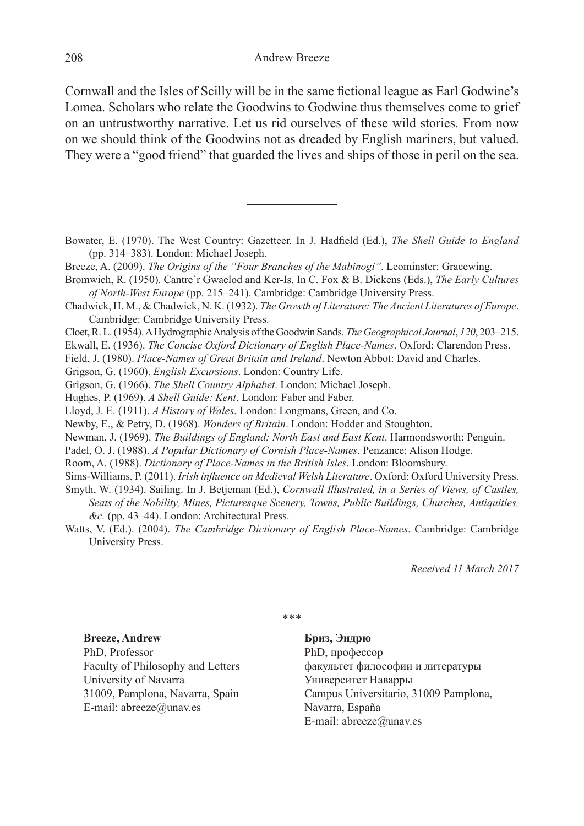Cornwall and the Isles of Scilly will be in the same fictional league as Earl Godwine's Lomea. Scholars who relate the Goodwins to Godwine thus themselves come to grief on an untrustworthy narrative. Let us rid ourselves of these wild stories. From now on we should think of the Goodwins not as dreaded by English mariners, but valued. They were a "good friend" that guarded the lives and ships of those in peril on the sea.

Bowater, E. (1970). The West Country: Gazetteer. In J. Hadfield (Ed.), *The Shell Guide to England* (pp. 314–383). London: Michael Joseph.

- Breeze, A. (2009). *The Origins of the "Four Branches of the Mabinogi"*. Leominster: Gracewing.
- Bromwich, R. (1950). Cantre'r Gwaelod and Ker-Is. In C. Fox & B. Dickens (Eds.), *The Early Cultures of North-West Europe* (pp. 215–241). Cambridge: Cambridge University Press.
- Chadwick, H. M., & Chadwick, N. K. (1932). *The Growth of Literature: The Ancient Literatures of Europe*. Cambridge: Cambridge University Press.
- Cloet, R. L. (1954). A Hydrographic Analysis of the Goodwin Sands. *The Geographical Journal*, *120*, 203–215.

Ekwall, E. (1936). *The Concise Oxford Dictionary of English Place-Names*. Oxford: Clarendon Press.

Field, J. (1980). *Place-Names of Great Britain and Ireland*. Newton Abbot: David and Charles.

Grigson, G. (1960). *English Excursions*. London: Country Life.

Grigson, G. (1966). *The Shell Country Alphabet*. London: Michael Joseph.

Hughes, P. (1969). *A Shell Guide: Kent*. London: Faber and Faber.

Lloyd, J. E. (1911). *A History of Wales*. London: Longmans, Green, and Co.

Newby, E., & Petry, D. (1968). *Wonders of Britain*. London: Hodder and Stoughton.

Newman, J. (1969). *The Buildings of England: North East and East Kent*. Harmondsworth: Penguin.

Padel, O. J. (1988). *A Popular Dictionary of Cornish Place-Names*. Penzance: Alison Hodge.

Room, A. (1988). *Dictionary of Place-Names in the British Isles*. London: Bloomsbury.

Sims-Williams, P. (2011). *Irish influence on Medieval Welsh Literature*. Oxford: Oxford University Press.

- Smyth, W. (1934). Sailing. In J. Betjeman (Ed.), *Cornwall Illustrated, in a Series of Views, of Castles, Seats of the Nobility, Mines, Picturesque Scenery, Towns, Public Buildings, Churches, Antiquities, &c.* (pp. 43–44). London: Architectural Press.
- Watts, V. (Ed.). (2004). *The Cambridge Dictionary of English Place-Names*. Cambridge: Cambridge University Press.

*Received 11 March 2017*

\*\*\*

**Breeze, Andrew** PhD, Professor Faculty of Philosophy and Letters University of Navarra 31009, Pamplona, Navarra, Spain E-mail: abreeze@unav.es

**Бриз, Эндрю** PhD, профессор факультет философии и литературы Университет Наварры Campus Universitario, 31009 Pamplona, Navarra, España E-mail: abreeze@unav.es